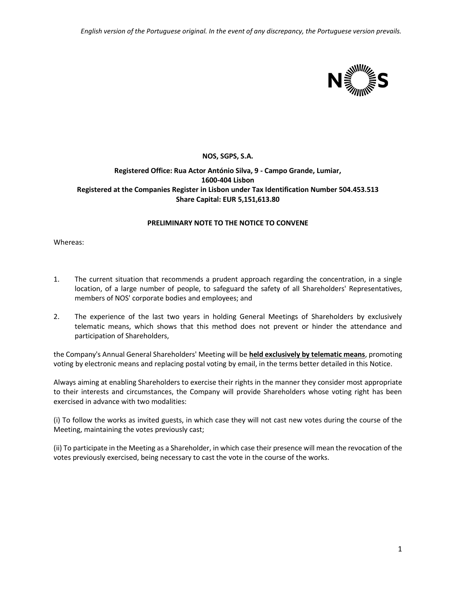*English version of the Portuguese original. In the event of any discrepancy, the Portuguese version prevails.*



## **NOS, SGPS, S.A.**

## **Registered Office: Rua Actor António Silva, 9 - Campo Grande, Lumiar, 1600-404 Lisbon Registered at the Companies Register in Lisbon under Tax Identification Number 504.453.513 Share Capital: EUR 5,151,613.80**

## **PRELIMINARY NOTE TO THE NOTICE TO CONVENE**

Whereas:

- 1. The current situation that recommends a prudent approach regarding the concentration, in a single location, of a large number of people, to safeguard the safety of all Shareholders' Representatives, members of NOS' corporate bodies and employees; and
- 2. The experience of the last two years in holding General Meetings of Shareholders by exclusively telematic means, which shows that this method does not prevent or hinder the attendance and participation of Shareholders,

the Company's Annual General Shareholders' Meeting will be **held exclusively by telematic means**, promoting voting by electronic means and replacing postal voting by email, in the terms better detailed in this Notice.

Always aiming at enabling Shareholders to exercise their rights in the manner they consider most appropriate to their interests and circumstances, the Company will provide Shareholders whose voting right has been exercised in advance with two modalities:

(i) To follow the works as invited guests, in which case they will not cast new votes during the course of the Meeting, maintaining the votes previously cast;

(ii) To participate in the Meeting as a Shareholder, in which case their presence will mean the revocation of the votes previously exercised, being necessary to cast the vote in the course of the works.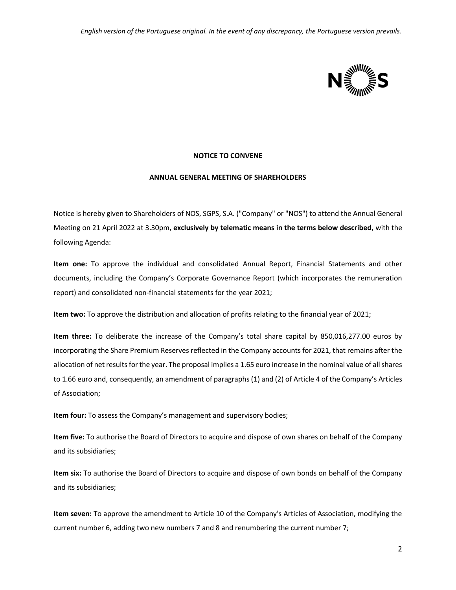

### **NOTICE TO CONVENE**

### **ANNUAL GENERAL MEETING OF SHAREHOLDERS**

Notice is hereby given to Shareholders of NOS, SGPS, S.A. ("Company" or "NOS") to attend the Annual General Meeting on 21 April 2022 at 3.30pm, **exclusively by telematic means in the terms below described**, with the following Agenda:

**Item one:** To approve the individual and consolidated Annual Report, Financial Statements and other documents, including the Company's Corporate Governance Report (which incorporates the remuneration report) and consolidated non-financial statements for the year 2021;

**Item two:** To approve the distribution and allocation of profits relating to the financial year of 2021;

**Item three:** To deliberate the increase of the Company's total share capital by 850,016,277.00 euros by incorporating the Share Premium Reserves reflected in the Company accounts for 2021, that remains after the allocation of net results for the year. The proposal implies a 1.65 euro increase in the nominal value of all shares to 1.66 euro and, consequently, an amendment of paragraphs (1) and (2) of Article 4 of the Company's Articles of Association;

**Item four:** To assess the Company's management and supervisory bodies;

**Item five:** To authorise the Board of Directors to acquire and dispose of own shares on behalf of the Company and its subsidiaries;

**Item six:** To authorise the Board of Directors to acquire and dispose of own bonds on behalf of the Company and its subsidiaries;

**Item seven:** To approve the amendment to Article 10 of the Company's Articles of Association, modifying the current number 6, adding two new numbers 7 and 8 and renumbering the current number 7;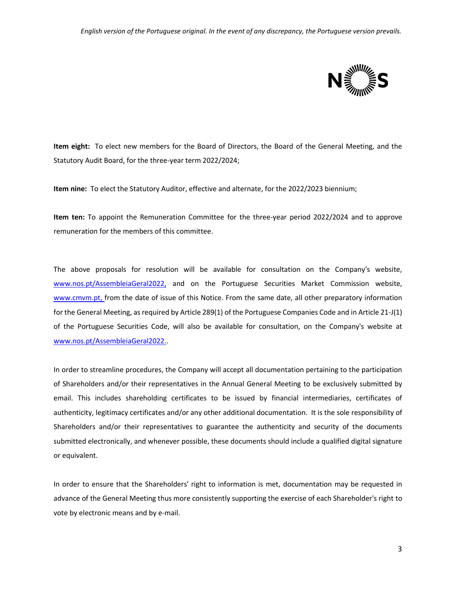

**Item eight:** To elect new members for the Board of Directors, the Board of the General Meeting, and the Statutory Audit Board, for the three-year term 2022/2024;

**Item nine:** To elect the Statutory Auditor, effective and alternate, for the 2022/2023 biennium;

**Item ten:** To appoint the Remuneration Committee for the three-year period 2022/2024 and to approve remuneration for the members of this committee.

The above proposals for resolution will be available for consultation on the Company's website, [www.nos.pt/AssembleiaGeral2022,](http://www.nos.pt/AssembleiaGeral2022) and on the Portuguese Securities Market Commission website[,](http://www.cmvm.pt/) [www.cmvm.pt,](http://www.cmvm.pt/) from the date of issue of this Notice. From the same date, all other preparatory information for the General Meeting, as required by Article 289(1) of the Portuguese Companies Code and in Article 21-J(1) of the Portuguese Securities Code, will also be available for consultation, on the Company's website at [www.nos.pt/AssembleiaGeral2022..](http://www.nos.pt/AssembleiaGeral2022)

In order to streamline procedures, the Company will accept all documentation pertaining to the participation of Shareholders and/or their representatives in the Annual General Meeting to be exclusively submitted by email. This includes shareholding certificates to be issued by financial intermediaries, certificates of authenticity, legitimacy certificates and/or any other additional documentation. It is the sole responsibility of Shareholders and/or their representatives to guarantee the authenticity and security of the documents submitted electronically, and whenever possible, these documents should include a qualified digital signature or equivalent.

In order to ensure that the Shareholders' right to information is met, documentation may be requested in advance of the General Meeting thus more consistently supporting the exercise of each Shareholder's right to vote by electronic means and by e-mail.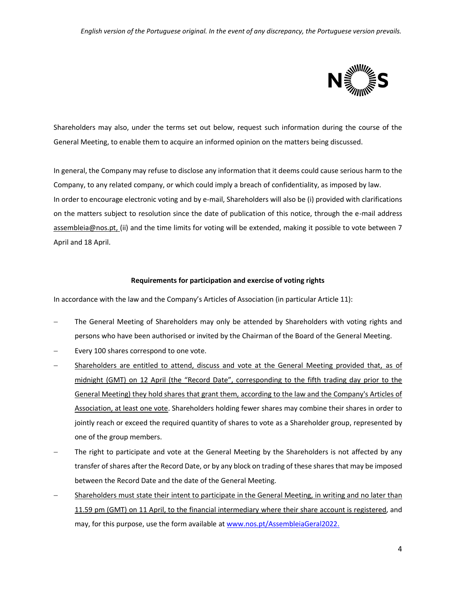

Shareholders may also, under the terms set out below, request such information during the course of the General Meeting, to enable them to acquire an informed opinion on the matters being discussed.

In general, the Company may refuse to disclose any information that it deems could cause serious harm to the Company, to any related company, or which could imply a breach of confidentiality, as imposed by law. In order to encourage electronic voting and by e-mail, Shareholders will also be (i) provided with clarifications on the matters subject to resolution since the date of publication of this notice, through the e-mail address assembleia@nos.pt, (ii) and the time limits for voting will be extended, making it possible to vote between 7 April and 18 April.

### **Requirements for participation and exercise of voting rights**

In accordance with the law and the Company's Articles of Association (in particular Article 11):

- − The General Meeting of Shareholders may only be attended by Shareholders with voting rights and persons who have been authorised or invited by the Chairman of the Board of the General Meeting.
- Every 100 shares correspond to one vote.
- Shareholders are entitled to attend, discuss and vote at the General Meeting provided that, as of midnight (GMT) on 12 April (the "Record Date", corresponding to the fifth trading day prior to the General Meeting) they hold shares that grant them, according to the law and the Company's Articles of Association, at least one vote. Shareholders holding fewer shares may combine their shares in order to jointly reach or exceed the required quantity of shares to vote as a Shareholder group, represented by one of the group members.
- The right to participate and vote at the General Meeting by the Shareholders is not affected by any transfer of shares after the Record Date, or by any block on trading of these shares that may be imposed between the Record Date and the date of the General Meeting.
- Shareholders must state their intent to participate in the General Meeting, in writing and no later than 11.59 pm (GMT) on 11 April, to the financial intermediary where their share account is registered, and may, for this purpose, use the form available a[t www.nos.pt/AssembleiaGeral2022.](http://www.nos.pt/AssembleiaGeral2022)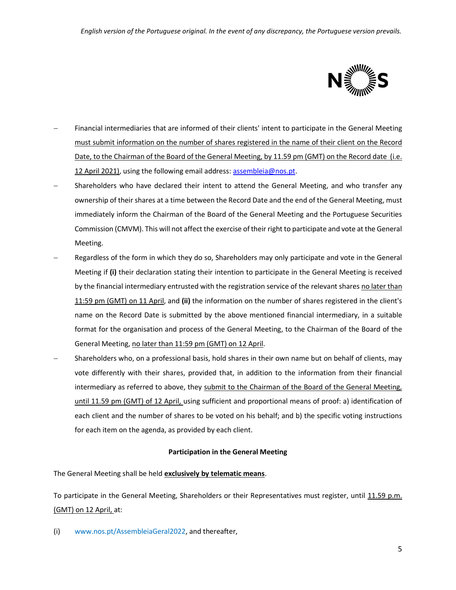

- Financial intermediaries that are informed of their clients' intent to participate in the General Meeting must submit information on the number of shares registered in the name of their client on the Record Date, to the Chairman of the Board of the General Meeting, by 11.59 pm (GMT) on the Record date (i.e. 12 April 2021), using the following email address: [assembleia@nos.pt.](mailto:assembleia@nos.pt)
- Shareholders who have declared their intent to attend the General Meeting, and who transfer any ownership of their shares at a time between the Record Date and the end of the General Meeting, must immediately inform the Chairman of the Board of the General Meeting and the Portuguese Securities Commission (CMVM). This will not affect the exercise of their right to participate and vote at the General Meeting.
- Regardless of the form in which they do so, Shareholders may only participate and vote in the General Meeting if **(i)** their declaration stating their intention to participate in the General Meeting is received by the financial intermediary entrusted with the registration service of the relevant shares no later than 11:59 pm (GMT) on 11 April, and **(ii)** the information on the number of shares registered in the client's name on the Record Date is submitted by the above mentioned financial intermediary, in a suitable format for the organisation and process of the General Meeting, to the Chairman of the Board of the General Meeting, no later than 11:59 pm (GMT) on 12 April.
- Shareholders who, on a professional basis, hold shares in their own name but on behalf of clients, may vote differently with their shares, provided that, in addition to the information from their financial intermediary as referred to above, they submit to the Chairman of the Board of the General Meeting, until 11.59 pm (GMT) of 12 April, using sufficient and proportional means of proof: a) identification of each client and the number of shares to be voted on his behalf; and b) the specific voting instructions for each item on the agenda, as provided by each client.

### **Participation in the General Meeting**

The General Meeting shall be held **exclusively by telematic means**.

To participate in the General Meeting, Shareholders or their Representatives must register, until 11.59 p.m. (GMT) on 12 April, at:

(i) www.nos.pt/AssembleiaGeral2022, and thereafter,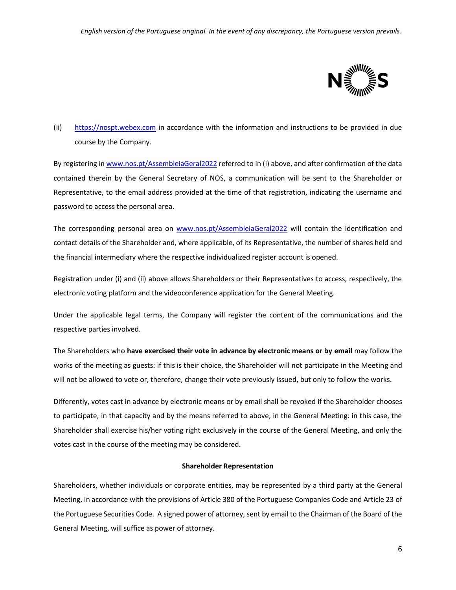

# (ii) [https://nospt.webex.com](https://nospt.webex.com/) in accordance with the information and instructions to be provided in due course by the Company.

By registering i[n www.nos.pt/AssembleiaGeral2022](http://www.nos.pt/AssembleiaGeral2022) referred to in (i) above, and after confirmation of the data contained therein by the General Secretary of NOS, a communication will be sent to the Shareholder or Representative, to the email address provided at the time of that registration, indicating the username and password to access the personal area.

The corresponding personal area on [www.nos.pt/AssembleiaGeral2022](http://www.nos.pt/AssembleiaGeral2022) will contain the identification and contact details of the Shareholder and, where applicable, of its Representative, the number of shares held and the financial intermediary where the respective individualized register account is opened.

Registration under (i) and (ii) above allows Shareholders or their Representatives to access, respectively, the electronic voting platform and the videoconference application for the General Meeting.

Under the applicable legal terms, the Company will register the content of the communications and the respective parties involved.

The Shareholders who **have exercised their vote in advance by electronic means or by email** may follow the works of the meeting as guests: if this is their choice, the Shareholder will not participate in the Meeting and will not be allowed to vote or, therefore, change their vote previously issued, but only to follow the works.

Differently, votes cast in advance by electronic means or by email shall be revoked if the Shareholder chooses to participate, in that capacity and by the means referred to above, in the General Meeting: in this case, the Shareholder shall exercise his/her voting right exclusively in the course of the General Meeting, and only the votes cast in the course of the meeting may be considered.

## **Shareholder Representation**

Shareholders, whether individuals or corporate entities, may be represented by a third party at the General Meeting, in accordance with the provisions of Article 380 of the Portuguese Companies Code and Article 23 of the Portuguese Securities Code. A signed power of attorney, sent by email to the Chairman of the Board of the General Meeting, will suffice as power of attorney.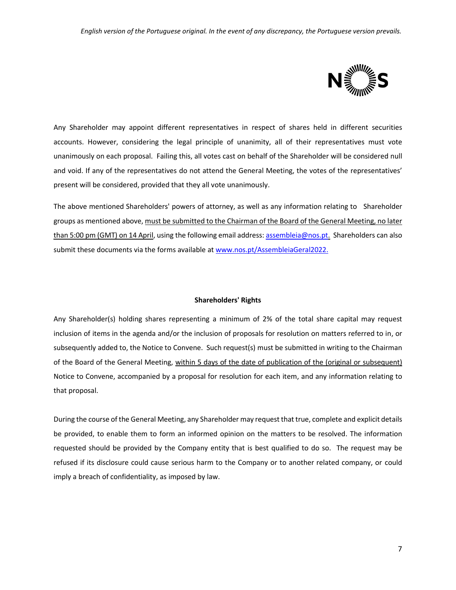

Any Shareholder may appoint different representatives in respect of shares held in different securities accounts. However, considering the legal principle of unanimity, all of their representatives must vote unanimously on each proposal. Failing this, all votes cast on behalf of the Shareholder will be considered null and void. If any of the representatives do not attend the General Meeting, the votes of the representatives' present will be considered, provided that they all vote unanimously.

The above mentioned Shareholders' powers of attorney, as well as any information relating to Shareholder groups as mentioned above, must be submitted to the Chairman of the Board of the General Meeting, no later than 5:00 pm (GMT) on 14 April, using the following email address: [assembleia@nos.pt.](mailto:assembleia@nos.pt) Shareholders can also submit these documents via the forms available a[t www.nos.pt/AssembleiaGeral2022.](http://www.nos.pt/AssembleiaGeral2022)

### **Shareholders' Rights**

Any Shareholder(s) holding shares representing a minimum of 2% of the total share capital may request inclusion of items in the agenda and/or the inclusion of proposals for resolution on matters referred to in, or subsequently added to, the Notice to Convene. Such request(s) must be submitted in writing to the Chairman of the Board of the General Meeting, within 5 days of the date of publication of the (original or subsequent) Notice to Convene, accompanied by a proposal for resolution for each item, and any information relating to that proposal.

During the course of the General Meeting, any Shareholder may request that true, complete and explicit details be provided, to enable them to form an informed opinion on the matters to be resolved. The information requested should be provided by the Company entity that is best qualified to do so. The request may be refused if its disclosure could cause serious harm to the Company or to another related company, or could imply a breach of confidentiality, as imposed by law.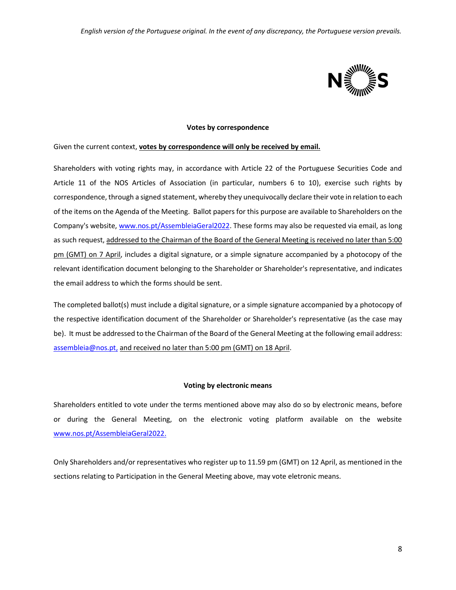

#### **Votes by correspondence**

Given the current context, **votes by correspondence will only be received by email.**

Shareholders with voting rights may, in accordance with Article 22 of the Portuguese Securities Code and Article 11 of the NOS Articles of Association (in particular, numbers 6 to 10), exercise such rights by correspondence, through a signed statement, whereby they unequivocally declare their vote in relation to each of the items on the Agenda of the Meeting. Ballot papers for this purpose are available to Shareholders on the Company's website[, www.nos.pt/AssembleiaGeral2022.](http://www.nos.pt/AssembleiaGeral2022) These forms may also be requested via email, as long as such request, addressed to the Chairman of the Board of the General Meeting is received no later than 5:00 pm (GMT) on 7 April, includes a digital signature, or a simple signature accompanied by a photocopy of the relevant identification document belonging to the Shareholder or Shareholder's representative, and indicates the email address to which the forms should be sent.

The completed ballot(s) must include a digital signature, or a simple signature accompanied by a photocopy of the respective identification document of the Shareholder or Shareholder's representative (as the case may be). It must be addressed to the Chairman of the Board of the General Meeting at the following email address: [assembleia@nos.pt,](mailto:assembleia@nos.pt) and received no later than 5:00 pm (GMT) on 18 April.

### **Voting by electronic means**

Shareholders entitled to vote under the terms mentioned above may also do so by electronic means, before or during the General Meeting, on the electronic voting platform available on the website [www.nos.pt/AssembleiaGeral2022.](http://www.nos.pt/AssembleiaGeral2022)

Only Shareholders and/or representatives who register up to 11.59 pm (GMT) on 12 April, as mentioned in the sections relating to Participation in the General Meeting above, may vote eletronic means.